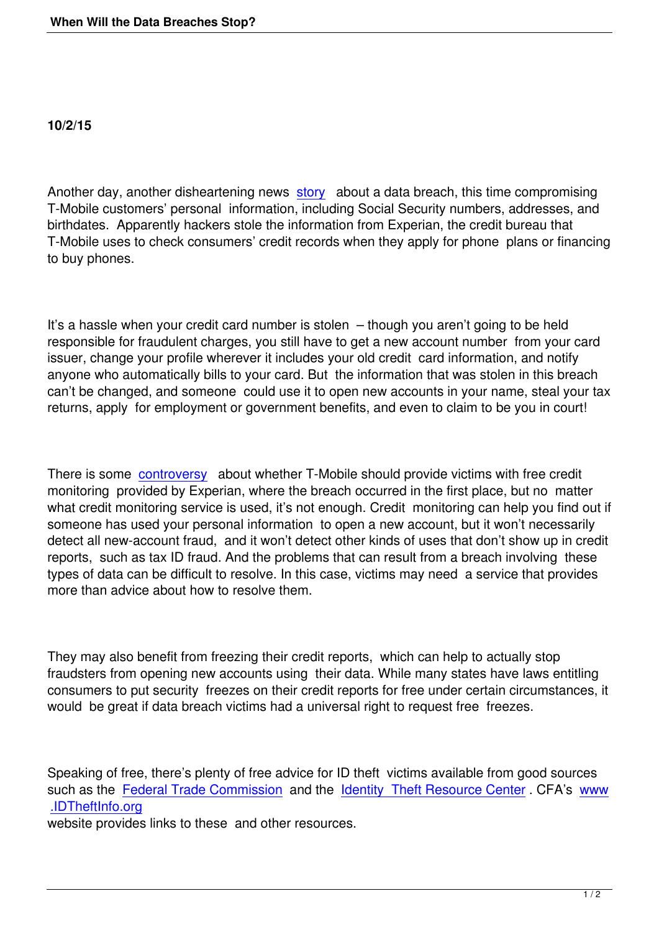Another day, another disheartening news story about a data breach, this time compromising T-Mobile customers' personal information, including Social Security numbers, addresses, and birthdates. Apparently hackers stole the information from Experian, the credit bureau that T-Mobile uses to check consumers' credit [recor](http://www.npr.org/sections/thetwo-way/2015/10/01/445121969/hackers-breach-credit-agency-experian-stealing-15-million-t-mobile-customers-inf)ds when they apply for phone plans or financing to buy phones.

It's a hassle when your credit card number is stolen – though you aren't going to be held responsible for fraudulent charges, you still have to get a new account number from your card issuer, change your profile wherever it includes your old credit card information, and notify anyone who automatically bills to your card. But the information that was stolen in this breach can't be changed, and someone could use it to open new accounts in your name, steal your tax returns, apply for employment or government benefits, and even to claim to be you in court!

There is some controversy about whether T-Mobile should provide victims with free credit monitoring provided by Experian, where the breach occurred in the first place, but no matter what credit monitoring service is used, it's not enough. Credit monitoring can help you find out if someone has u[sed your pe](http://www.npr.org/sections/thetwo-way/2015/10/01/445121969/hackers-breach-credit-agency-experian-stealing-15-million-t-mobile-customers-inf)rsonal information to open a new account, but it won't necessarily detect all new-account fraud, and it won't detect other kinds of uses that don't show up in credit reports, such as tax ID fraud. And the problems that can result from a breach involving these types of data can be difficult to resolve. In this case, victims may need a service that provides more than advice about how to resolve them.

They may also benefit from freezing their credit reports, which can help to actually stop fraudsters from opening new accounts using their data. While many states have laws entitling consumers to put security freezes on their credit reports for free under certain circumstances, it would be great if data breach victims had a universal right to request free freezes.

Speaking of free, there's plenty of free advice for ID theft victims available from good sources such as the Federal Trade Commission and the Identity Theft Resource Center. CFA's www .IDTheftInfo.org

website provides links to these and other resources.